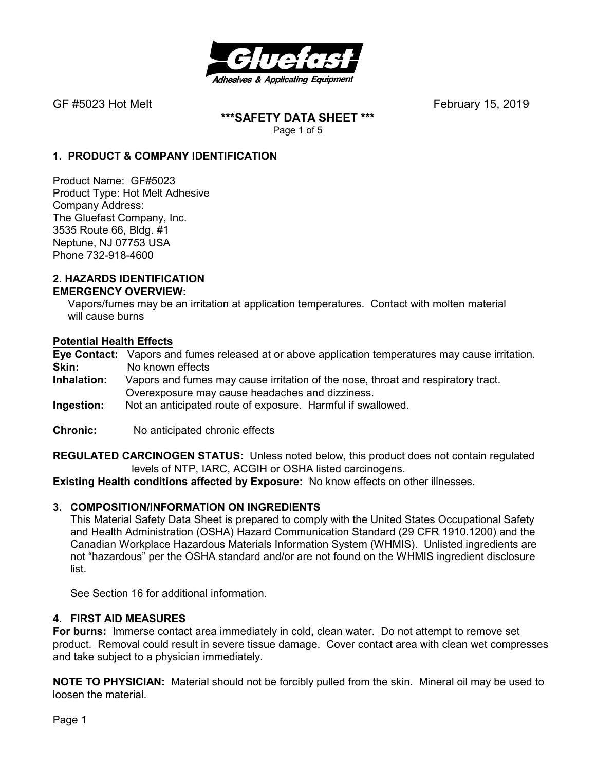

**\*\*\*SAFETY DATA SHEET \*\*\***  Page 1 of 5

## **1. PRODUCT & COMPANY IDENTIFICATION**

Product Name: GF#5023 Product Type: Hot Melt Adhesive Company Address: The Gluefast Company, Inc. 3535 Route 66, Bldg. #1 Neptune, NJ 07753 USA Phone 732-918-4600

#### **2. HAZARDS IDENTIFICATION EMERGENCY OVERVIEW:**

 Vapors/fumes may be an irritation at application temperatures. Contact with molten material will cause burns

### **Potential Health Effects**

**Eye Contact:** Vapors and fumes released at or above application temperatures may cause irritation. **Skin:** No known effects<br>**Inhalation:** Vapors and fumes

- Vapors and fumes may cause irritation of the nose, throat and respiratory tract. Overexposure may cause headaches and dizziness.
- **Ingestion:** Not an anticipated route of exposure. Harmful if swallowed.
- **Chronic:** No anticipated chronic effects

**REGULATED CARCINOGEN STATUS:** Unless noted below, this product does not contain regulated levels of NTP, IARC, ACGIH or OSHA listed carcinogens.

**Existing Health conditions affected by Exposure:** No know effects on other illnesses.

### **3. COMPOSITION/INFORMATION ON INGREDIENTS**

This Material Safety Data Sheet is prepared to comply with the United States Occupational Safety and Health Administration (OSHA) Hazard Communication Standard (29 CFR 1910.1200) and the Canadian Workplace Hazardous Materials Information System (WHMIS). Unlisted ingredients are not "hazardous" per the OSHA standard and/or are not found on the WHMIS ingredient disclosure list.

See Section 16 for additional information.

#### **4. FIRST AID MEASURES**

**For burns:** Immerse contact area immediately in cold, clean water. Do not attempt to remove set product. Removal could result in severe tissue damage. Cover contact area with clean wet compresses and take subject to a physician immediately.

**NOTE TO PHYSICIAN:** Material should not be forcibly pulled from the skin. Mineral oil may be used to loosen the material.

Page 1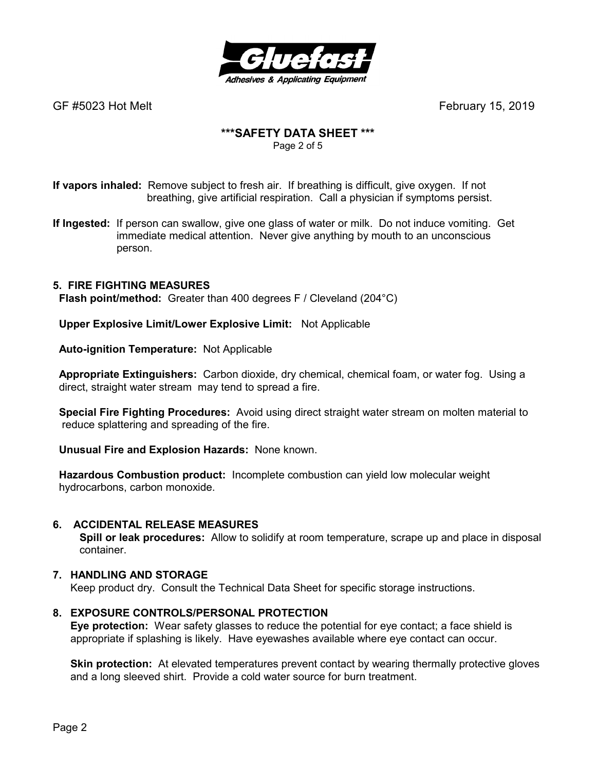

# **\*\*\*SAFETY DATA SHEET \*\*\***

Page 2 of 5

**If vapors inhaled:** Remove subject to fresh air. If breathing is difficult, give oxygen. If not breathing, give artificial respiration. Call a physician if symptoms persist.

**If Ingested:** If person can swallow, give one glass of water or milk. Do not induce vomiting. Get immediate medical attention. Never give anything by mouth to an unconscious person.

# **5. FIRE FIGHTING MEASURES**

 **Flash point/method:** Greater than 400 degrees F / Cleveland (204°C)

 **Upper Explosive Limit/Lower Explosive Limit:** Not Applicable

 **Auto-ignition Temperature:** Not Applicable

 **Appropriate Extinguishers:** Carbon dioxide, dry chemical, chemical foam, or water fog. Using a direct, straight water stream may tend to spread a fire.

 **Special Fire Fighting Procedures:** Avoid using direct straight water stream on molten material to reduce splattering and spreading of the fire.

 **Unusual Fire and Explosion Hazards:** None known.

 **Hazardous Combustion product:** Incomplete combustion can yield low molecular weight hydrocarbons, carbon monoxide.

### **6. ACCIDENTAL RELEASE MEASURES**

 **Spill or leak procedures:** Allow to solidify at room temperature, scrape up and place in disposal container.

# **7. HANDLING AND STORAGE**

Keep product dry. Consult the Technical Data Sheet for specific storage instructions.

### **8. EXPOSURE CONTROLS/PERSONAL PROTECTION**

**Eye protection:** Wear safety glasses to reduce the potential for eye contact; a face shield is appropriate if splashing is likely. Have eyewashes available where eye contact can occur.

**Skin protection:** At elevated temperatures prevent contact by wearing thermally protective gloves and a long sleeved shirt. Provide a cold water source for burn treatment.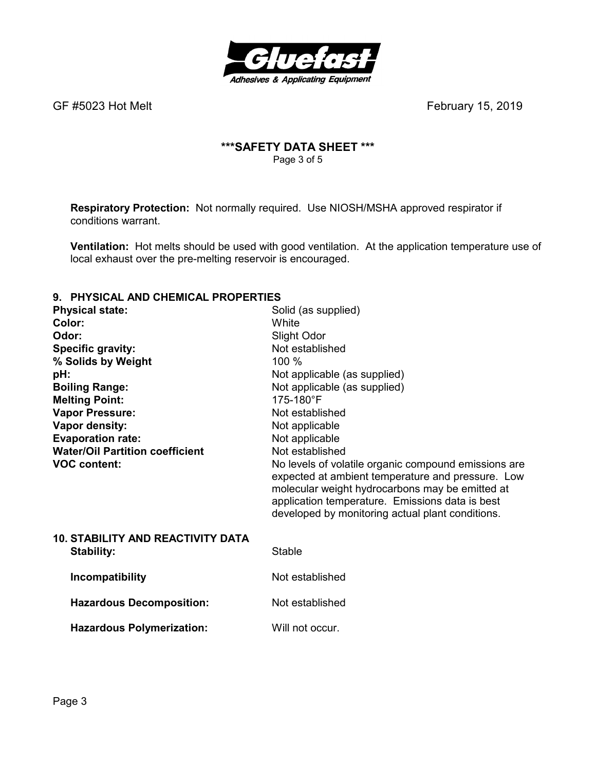

# **\*\*\*SAFETY DATA SHEET \*\*\***  Page 3 of 5

**Respiratory Protection:** Not normally required.Use NIOSH/MSHA approved respirator if conditions warrant.

**Ventilation:** Hot melts should be used with good ventilation. At the application temperature use of local exhaust over the pre-melting reservoir is encouraged.

# **9. PHYSICAL AND CHEMICAL PROPERTIES**

| <u>THI UIVAL AND VIILIMIVAL I INDI LINTILU</u> |                                                                                                                                                                                                                                                                     |
|------------------------------------------------|---------------------------------------------------------------------------------------------------------------------------------------------------------------------------------------------------------------------------------------------------------------------|
| <b>Physical state:</b>                         | Solid (as supplied)                                                                                                                                                                                                                                                 |
| Color:                                         | White                                                                                                                                                                                                                                                               |
| Odor:                                          | Slight Odor                                                                                                                                                                                                                                                         |
| <b>Specific gravity:</b>                       | Not established                                                                                                                                                                                                                                                     |
| % Solids by Weight                             | 100 %                                                                                                                                                                                                                                                               |
| pH:                                            | Not applicable (as supplied)                                                                                                                                                                                                                                        |
| <b>Boiling Range:</b>                          | Not applicable (as supplied)                                                                                                                                                                                                                                        |
| <b>Melting Point:</b>                          | 175-180°F                                                                                                                                                                                                                                                           |
| <b>Vapor Pressure:</b>                         | Not established                                                                                                                                                                                                                                                     |
| Vapor density:                                 | Not applicable                                                                                                                                                                                                                                                      |
| <b>Evaporation rate:</b>                       | Not applicable                                                                                                                                                                                                                                                      |
| <b>Water/Oil Partition coefficient</b>         | Not established                                                                                                                                                                                                                                                     |
| <b>VOC content:</b>                            | No levels of volatile organic compound emissions are<br>expected at ambient temperature and pressure. Low<br>molecular weight hydrocarbons may be emitted at<br>application temperature. Emissions data is best<br>developed by monitoring actual plant conditions. |
| <b>10. STABILITY AND REACTIVITY DATA</b>       |                                                                                                                                                                                                                                                                     |
| <b>Stability:</b>                              | Stable                                                                                                                                                                                                                                                              |
| Incompatibility                                | Not established                                                                                                                                                                                                                                                     |
| <b>Hazardous Decomposition:</b>                | Not established                                                                                                                                                                                                                                                     |
| <b>Hazardous Polymerization:</b>               | Will not occur.                                                                                                                                                                                                                                                     |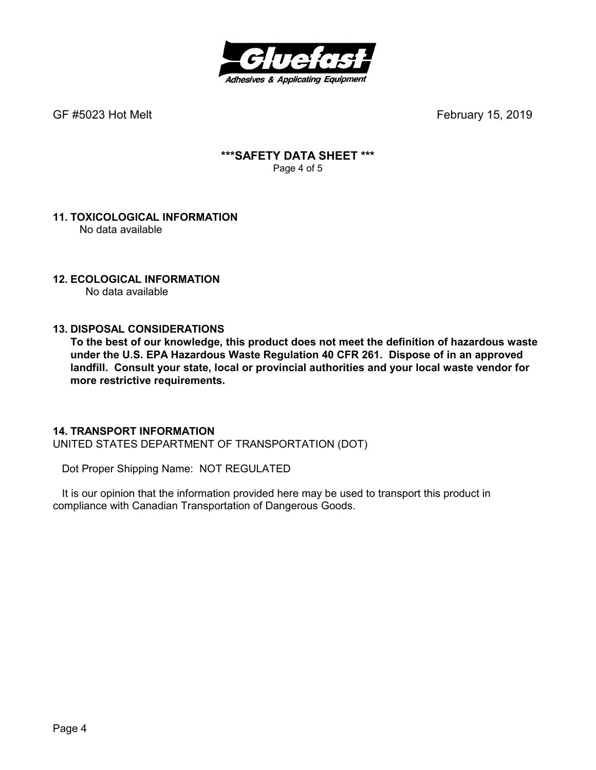

### **\*\*\*SAFETY DATA SHEET \*\*\***  Page 4 of 5

#### **11. TOXICOLOGICAL INFORMATION**  No data available

# **12. ECOLOGICAL INFORMATION**

No data available

## **13. DISPOSAL CONSIDERATIONS**

**To the best of our knowledge, this product does not meet the definition of hazardous waste under the U.S. EPA Hazardous Waste Regulation 40 CFR 261. Dispose of in an approved landfill. Consult your state, local or provincial authorities and your local waste vendor for more restrictive requirements.** 

### **14. TRANSPORT INFORMATION**

UNITED STATES DEPARTMENT OF TRANSPORTATION (DOT)

Dot Proper Shipping Name: NOT REGULATED

 It is our opinion that the information provided here may be used to transport this product in compliance with Canadian Transportation of Dangerous Goods.